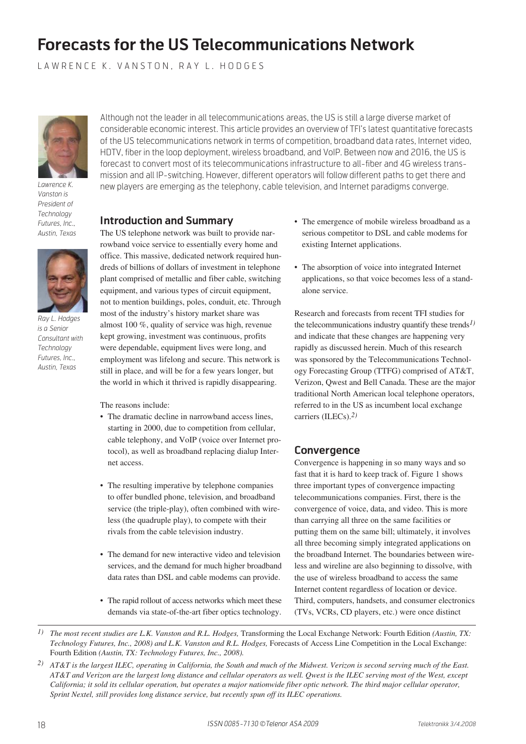# **Forecasts for the US Telecommunications Network**

LAWRENCE K. VANSTON, RAY L. HODGES



*Lawrence K. Vanston is President of Technology Futures, Inc., Austin, Texas*



*Ray L. Hodges is a Senior Consultant with Technology Futures, Inc., Austin, Texas*

Although not the leader in all telecommunications areas, the US is still a large diverse market of considerable economic interest. This article provides an overview of TFI's latest quantitative forecasts of the US telecommunications network in terms of competition, broadband data rates, Internet video, HDTV, fiber in the loop deployment, wireless broadband, and VoIP. Between now and 2016, the US is forecast to convert most of its telecommunications infrastructure to all-fiber and 4G wireless transmission and all IP-switching. However, different operators will follow different paths to get there and new players are emerging as the telephony, cable television, and Internet paradigms converge.

# **Introduction and Summary**

The US telephone network was built to provide narrowband voice service to essentially every home and office. This massive, dedicated network required hundreds of billions of dollars of investment in telephone plant comprised of metallic and fiber cable, switching equipment, and various types of circuit equipment, not to mention buildings, poles, conduit, etc. Through most of the industry's history market share was almost 100 %, quality of service was high, revenue kept growing, investment was continuous, profits were dependable, equipment lives were long, and employment was lifelong and secure. This network is still in place, and will be for a few years longer, but the world in which it thrived is rapidly disappearing.

The reasons include:

- The dramatic decline in narrowband access lines, starting in 2000, due to competition from cellular, cable telephony, and VoIP (voice over Internet protocol), as well as broadband replacing dialup Internet access.
- The resulting imperative by telephone companies to offer bundled phone, television, and broadband service (the triple-play), often combined with wireless (the quadruple play), to compete with their rivals from the cable television industry.
- The demand for new interactive video and television services, and the demand for much higher broadband data rates than DSL and cable modems can provide.
- The rapid rollout of access networks which meet these demands via state-of-the-art fiber optics technology.
- The emergence of mobile wireless broadband as a serious competitor to DSL and cable modems for existing Internet applications.
- The absorption of voice into integrated Internet applications, so that voice becomes less of a standalone service.

Research and forecasts from recent TFI studies for the telecommunications industry quantify these trends*1)* and indicate that these changes are happening very rapidly as discussed herein. Much of this research was sponsored by the Telecommunications Technology Forecasting Group (TTFG) comprised of AT&T, Verizon, Qwest and Bell Canada. These are the major traditional North American local telephone operators, referred to in the US as incumbent local exchange carriers (ILECs).*2)*

# **Convergence**

Convergence is happening in so many ways and so fast that it is hard to keep track of. Figure 1 shows three important types of convergence impacting telecommunications companies. First, there is the convergence of voice, data, and video. This is more than carrying all three on the same facilities or putting them on the same bill; ultimately, it involves all three becoming simply integrated applications on the broadband Internet. The boundaries between wireless and wireline are also beginning to dissolve, with the use of wireless broadband to access the same Internet content regardless of location or device. Third, computers, handsets, and consumer electronics (TVs, VCRs, CD players, etc.) were once distinct

*<sup>1)</sup> The most recent studies are L.K. Vanston and R.L. Hodges,* Transforming the Local Exchange Network: Fourth Edition *(Austin, TX: Technology Futures, Inc., 2008) and L.K. Vanston and R.L. Hodges,* Forecasts of Access Line Competition in the Local Exchange: Fourth Edition *(Austin, TX: Technology Futures, Inc., 2008).*

*<sup>2)</sup> AT&T is the largest ILEC, operating in California, the South and much of the Midwest. Verizon is second serving much of the East. AT&T and Verizon are the largest long distance and cellular operators as well. Qwest is the ILEC serving most of the West, except California; it sold its cellular operation, but operates a major nationwide fiber optic network. The third major cellular operator, Sprint Nextel, still provides long distance service, but recently spun off its ILEC operations.*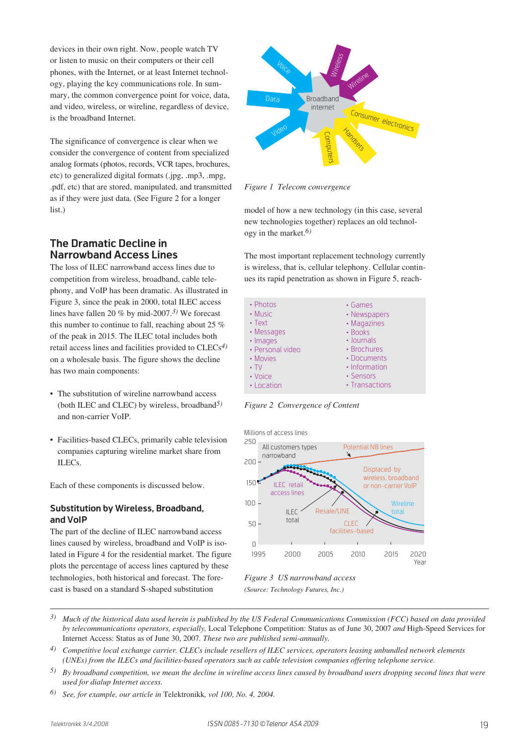devices in their own right. Now, people watch TV or listen to music on their computers or their cell phones, with the Internet, or at least Internet technology, playing the key communications role. In summary, the common convergence point for voice, data, and video, wireless, or wireline, regardless of device, is the broadband Internet.

The significance of convergence is clear when we consider the convergence of content from specialized analog formats (photos, records, VCR tapes, brochures, etc) to generalized digital formats (.jpg, .mp3, .mpg, .pdf, etc) that are stored, manipulated, and transmitted as if they were just data. (See Figure 2 for a longer list.)

# **The Dramatic Decline in Narrowband Access Lines**

The loss of ILEC narrowband access lines due to competition from wireless, broadband, cable telephony, and VoIP has been dramatic. As illustrated in Figure 3, since the peak in 2000, total ILEC access lines have fallen 20 % by mid-2007.*3)* We forecast this number to continue to fall, reaching about 25 % of the peak in 2015. The ILEC total includes both retail access lines and facilities provided to CLECs*4)* on a wholesale basis. The figure shows the decline has two main components:

- The substitution of wireline narrowband access (both ILEC and CLEC) by wireless, broadband*5)* and non-carrier VoIP.
- Facilities-based CLECs, primarily cable television companies capturing wireline market share from ILECs.

Each of these components is discussed below.

#### **Substitution by Wireless, Broadband, and VoIP**

The part of the decline of ILEC narrowband access lines caused by wireless, broadband and VoIP is isolated in Figure 4 for the residential market. The figure plots the percentage of access lines captured by these technologies, both historical and forecast. The forecast is based on a standard S-shaped substitution



*Figure 1 Telecom convergence*

model of how a new technology (in this case, several new technologies together) replaces an old technology in the market.*6)*

The most important replacement technology currently is wireless, that is, cellular telephony. Cellular continues its rapid penetration as shown in Figure 5, reach-



*Figure 2 Convergence of Content*



*(Source: Technology Futures, Inc.)*

- *3) Much of the historical data used herein is published by the US Federal Communications Commission (FCC) based on data provided by telecommunications operators, especially,* Local Telephone Competition: Status as of June 30, 2007 *and* High-Speed Services for Internet Access: Status as of June 30, 2007*. These two are published semi-annually.*
- *4) Competitive local exchange carrier. CLECs include resellers of ILEC services, operators leasing unbundled network elements (UNEs) from the ILECs and facilities-based operators such as cable television companies offering telephone service.*
- *5) By broadband competition, we mean the decline in wireline access lines caused by broadband users dropping second lines that were used for dialup Internet access.*
- *6) See, for example, our article in* Telektronikk*, vol 100, No. 4, 2004.*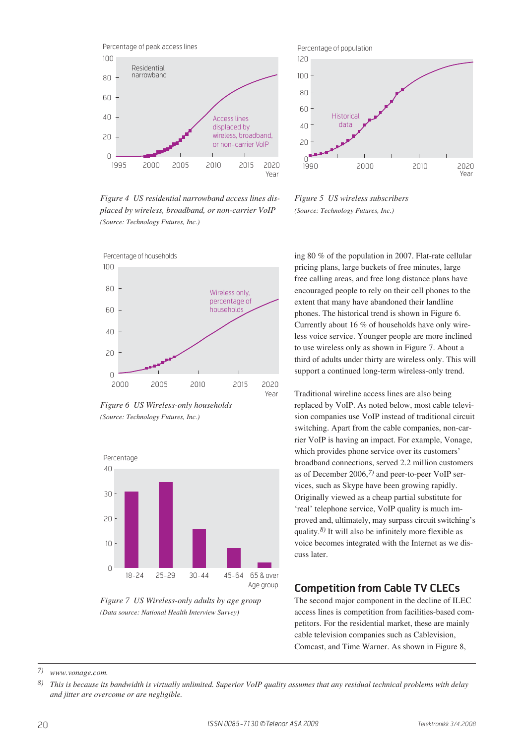

*Figure 4 US residential narrowband access lines displaced by wireless, broadband, or non-carrier VoIP (Source: Technology Futures, Inc.)*



*Figure 6 US Wireless-only households (Source: Technology Futures, Inc.)*



*Figure 7 US Wireless-only adults by age group (Data source: National Health Interview Survey)*



*Figure 5 US wireless subscribers (Source: Technology Futures, Inc.)*

ing 80 % of the population in 2007. Flat-rate cellular pricing plans, large buckets of free minutes, large free calling areas, and free long distance plans have encouraged people to rely on their cell phones to the extent that many have abandoned their landline phones. The historical trend is shown in Figure 6. Currently about 16 % of households have only wireless voice service. Younger people are more inclined to use wireless only as shown in Figure 7. About a third of adults under thirty are wireless only. This will support a continued long-term wireless-only trend.

Traditional wireline access lines are also being replaced by VoIP. As noted below, most cable television companies use VoIP instead of traditional circuit switching. Apart from the cable companies, non-carrier VoIP is having an impact. For example, Vonage, which provides phone service over its customers' broadband connections, served 2.2 million customers as of December 2006,*7)* and peer-to-peer VoIP services, such as Skype have been growing rapidly. Originally viewed as a cheap partial substitute for 'real' telephone service, VoIP quality is much improved and, ultimately, may surpass circuit switching's quality.*8)* It will also be infinitely more flexible as voice becomes integrated with the Internet as we discuss later.

# **Competition from Cable TV CLECs**

The second major component in the decline of ILEC access lines is competition from facilities-based competitors. For the residential market, these are mainly cable television companies such as Cablevision, Comcast, and Time Warner. As shown in Figure 8,

*7) www.vonage.com.* 

*<sup>8)</sup> This is because its bandwidth is virtually unlimited. Superior VoIP quality assumes that any residual technical problems with delay and jitter are overcome or are negligible.*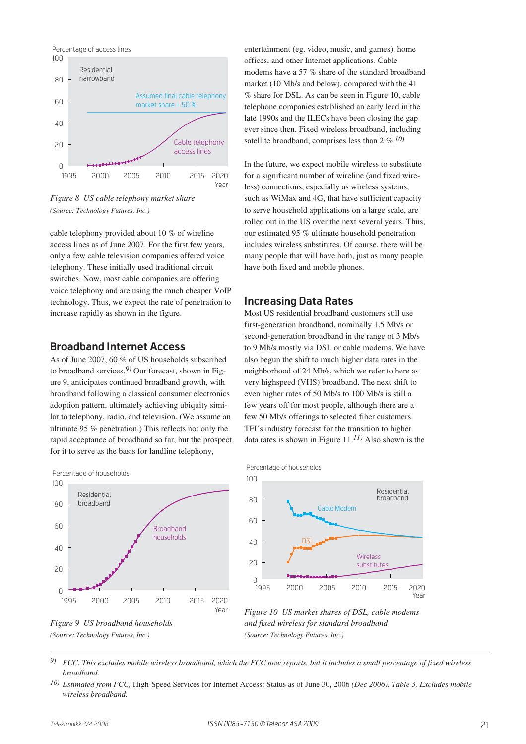

*Figure 8 US cable telephony market share (Source: Technology Futures, Inc.)*

cable telephony provided about 10 % of wireline access lines as of June 2007. For the first few years, only a few cable television companies offered voice telephony. These initially used traditional circuit switches. Now, most cable companies are offering voice telephony and are using the much cheaper VoIP technology. Thus, we expect the rate of penetration to increase rapidly as shown in the figure.

# **Broadband Internet Access**

As of June 2007, 60 % of US households subscribed to broadband services.*9)* Our forecast, shown in Figure 9, anticipates continued broadband growth, with broadband following a classical consumer electronics adoption pattern, ultimately achieving ubiquity similar to telephony, radio, and television. (We assume an ultimate 95 % penetration.) This reflects not only the rapid acceptance of broadband so far, but the prospect for it to serve as the basis for landline telephony,





entertainment (eg. video, music, and games), home offices, and other Internet applications. Cable modems have a 57 % share of the standard broadband market (10 Mb/s and below), compared with the 41 % share for DSL. As can be seen in Figure 10, cable telephone companies established an early lead in the late 1990s and the ILECs have been closing the gap ever since then. Fixed wireless broadband, including satellite broadband, comprises less than 2 %.*10)*

In the future, we expect mobile wireless to substitute for a significant number of wireline (and fixed wireless) connections, especially as wireless systems, such as WiMax and 4G, that have sufficient capacity to serve household applications on a large scale, are rolled out in the US over the next several years. Thus, our estimated 95 % ultimate household penetration includes wireless substitutes. Of course, there will be many people that will have both, just as many people have both fixed and mobile phones.

# **Increasing Data Rates**

Most US residential broadband customers still use first-generation broadband, nominally 1.5 Mb/s or second-generation broadband in the range of 3 Mb/s to 9 Mb/s mostly via DSL or cable modems. We have also begun the shift to much higher data rates in the neighborhood of 24 Mb/s, which we refer to here as very highspeed (VHS) broadband. The next shift to even higher rates of 50 Mb/s to 100 Mb/s is still a few years off for most people, although there are a few 50 Mb/s offerings to selected fiber customers. TFI's industry forecast for the transition to higher data rates is shown in Figure 11.*11)* Also shown is the





*Figure 10 US market shares of DSL, cable modems and fixed wireless for standard broadband (Source: Technology Futures, Inc.)*

*9) FCC. This excludes mobile wireless broadband, which the FCC now reports, but it includes a small percentage of fixed wireless broadband.*

*10) Estimated from FCC,* High-Speed Services for Internet Access: Status as of June 30, 2006 *(Dec 2006), Table 3, Excludes mobile wireless broadband.*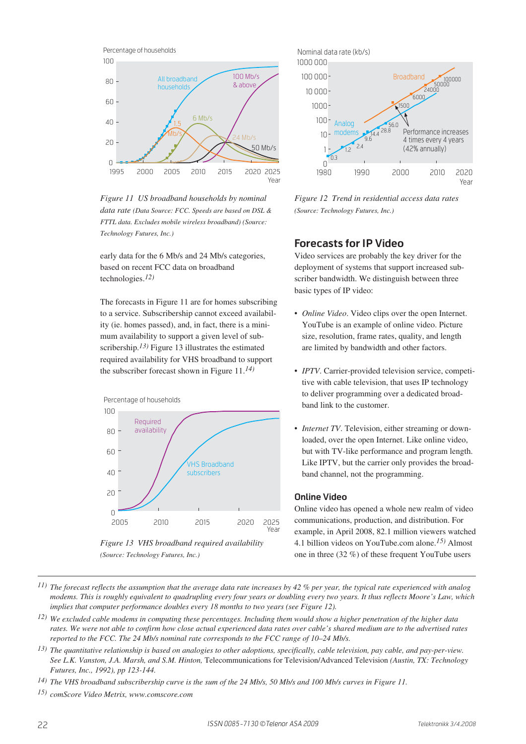

*Figure 11 US broadband households by nominal data rate (Data Source: FCC. Speeds are based on DSL & FTTL data. Excludes mobile wireless broadband) (Source: Technology Futures, Inc.)*

early data for the 6 Mb/s and 24 Mb/s categories, based on recent FCC data on broadband technologies.*12)*

The forecasts in Figure 11 are for homes subscribing to a service. Subscribership cannot exceed availability (ie. homes passed), and, in fact, there is a minimum availability to support a given level of subscribership.*13)* Figure 13 illustrates the estimated required availability for VHS broadband to support the subscriber forecast shown in Figure 11.*14)*



*Figure 13 VHS broadband required availability (Source: Technology Futures, Inc.)*



*Figure 12 Trend in residential access data rates (Source: Technology Futures, Inc.)*

# **Forecasts for IP Video**

Video services are probably the key driver for the deployment of systems that support increased subscriber bandwidth. We distinguish between three basic types of IP video:

- *Online Video*. Video clips over the open Internet. YouTube is an example of online video. Picture size, resolution, frame rates, quality, and length are limited by bandwidth and other factors.
- *IPTV*. Carrier-provided television service, competitive with cable television, that uses IP technology to deliver programming over a dedicated broadband link to the customer.
- *Internet TV*. Television, either streaming or downloaded, over the open Internet. Like online video, but with TV-like performance and program length. Like IPTV, but the carrier only provides the broadband channel, not the programming.

#### **Online Video**

Online video has opened a whole new realm of video communications, production, and distribution. For example, in April 2008, 82.1 million viewers watched 4.1 billion videos on YouTube.com alone.*15)* Almost one in three (32 %) of these frequent YouTube users

- *11) The forecast reflects the assumption that the average data rate increases by 42 % per year, the typical rate experienced with analog modems. This is roughly equivalent to quadrupling every four years or doubling every two years. It thus reflects Moore's Law, which implies that computer performance doubles every 18 months to two years (see Figure 12).*
- *12) We excluded cable modems in computing these percentages. Including them would show a higher penetration of the higher data rates. We were not able to confirm how close actual experienced data rates over cable's shared medium are to the advertised rates reported to the FCC. The 24 Mb/s nominal rate corresponds to the FCC range of 10–24 Mb/s.*
- *13) The quantitative relationship is based on analogies to other adoptions, specifically, cable television, pay cable, and pay-per-view. See L.K. Vanston, J.A. Marsh, and S.M. Hinton,* Telecommunications for Television/Advanced Television *(Austin, TX: Technology Futures, Inc., 1992), pp 123-144.*
- *14) The VHS broadband subscribership curve is the sum of the 24 Mb/s, 50 Mb/s and 100 Mb/s curves in Figure 11.*

*15) comScore Video Metrix, www.comscore.com*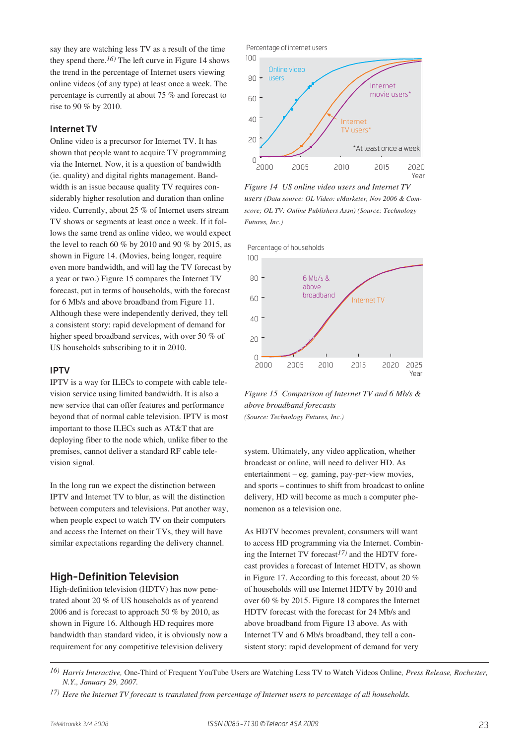say they are watching less TV as a result of the time they spend there.*16)* The left curve in Figure 14 shows the trend in the percentage of Internet users viewing online videos (of any type) at least once a week. The percentage is currently at about 75 % and forecast to rise to 90 % by 2010.

#### **Internet TV**

Online video is a precursor for Internet TV. It has shown that people want to acquire TV programming via the Internet. Now, it is a question of bandwidth (ie. quality) and digital rights management. Bandwidth is an issue because quality TV requires considerably higher resolution and duration than online video. Currently, about 25 % of Internet users stream TV shows or segments at least once a week. If it follows the same trend as online video, we would expect the level to reach 60 % by 2010 and 90 % by 2015, as shown in Figure 14. (Movies, being longer, require even more bandwidth, and will lag the TV forecast by a year or two.) Figure 15 compares the Internet TV forecast, put in terms of households, with the forecast for 6 Mb/s and above broadband from Figure 11. Although these were independently derived, they tell a consistent story: rapid development of demand for higher speed broadband services, with over 50 % of US households subscribing to it in 2010.

#### **IPTV**

IPTV is a way for ILECs to compete with cable television service using limited bandwidth. It is also a new service that can offer features and performance beyond that of normal cable television. IPTV is most important to those ILECs such as AT&T that are deploying fiber to the node which, unlike fiber to the premises, cannot deliver a standard RF cable television signal.

In the long run we expect the distinction between IPTV and Internet TV to blur, as will the distinction between computers and televisions. Put another way, when people expect to watch TV on their computers and access the Internet on their TVs, they will have similar expectations regarding the delivery channel.

## **High-Definition Television**

High-definition television (HDTV) has now penetrated about 20 % of US households as of yearend 2006 and is forecast to approach 50 % by 2010, as shown in Figure 16. Although HD requires more bandwidth than standard video, it is obviously now a requirement for any competitive television delivery





*Figure 14 US online video users and Internet TV users (Data source: OL Video: eMarketer, Nov 2006 & Comscore; OL TV: Online Publishers Assn) (Source: Technology Futures, Inc.)*



*Figure 15 Comparison of Internet TV and 6 Mb/s & above broadband forecasts (Source: Technology Futures, Inc.)*

system. Ultimately, any video application, whether broadcast or online, will need to deliver HD. As entertainment – eg. gaming, pay-per-view movies, and sports – continues to shift from broadcast to online delivery, HD will become as much a computer phenomenon as a television one.

As HDTV becomes prevalent, consumers will want to access HD programming via the Internet. Combining the Internet TV forecast*17)* and the HDTV forecast provides a forecast of Internet HDTV, as shown in Figure 17. According to this forecast, about 20 % of households will use Internet HDTV by 2010 and over 60 % by 2015. Figure 18 compares the Internet HDTV forecast with the forecast for 24 Mb/s and above broadband from Figure 13 above. As with Internet TV and 6 Mb/s broadband, they tell a consistent story: rapid development of demand for very

*<sup>16)</sup> Harris Interactive,* One-Third of Frequent YouTube Users are Watching Less TV to Watch Videos Online*, Press Release, Rochester, N.Y., January 29, 2007.*

*<sup>17)</sup> Here the Internet TV forecast is translated from percentage of Internet users to percentage of all households.*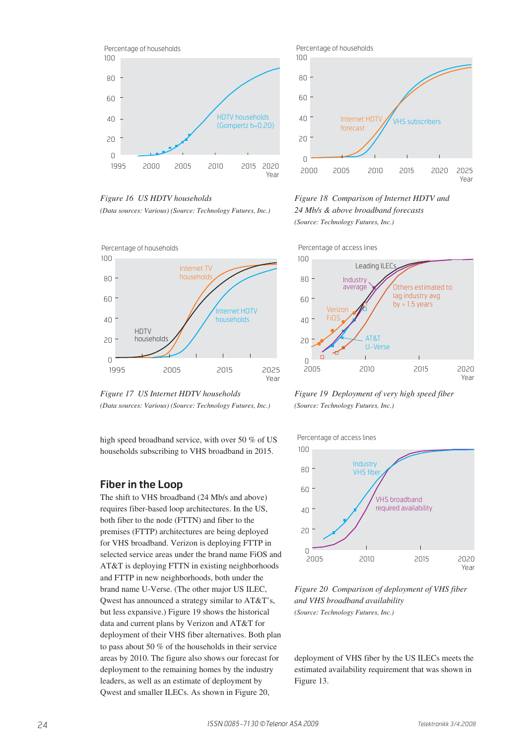

*Figure 16 US HDTV households (Data sources: Various) (Source: Technology Futures, Inc.)*





high speed broadband service, with over 50 % of US households subscribing to VHS broadband in 2015.

# **Fiber in the Loop**

The shift to VHS broadband (24 Mb/s and above) requires fiber-based loop architectures. In the US, both fiber to the node (FTTN) and fiber to the premises (FTTP) architectures are being deployed for VHS broadband. Verizon is deploying FTTP in selected service areas under the brand name FiOS and AT&T is deploying FTTN in existing neighborhoods and FTTP in new neighborhoods, both under the brand name U-Verse. (The other major US ILEC, Qwest has announced a strategy similar to AT&T's, but less expansive.) Figure 19 shows the historical data and current plans by Verizon and AT&T for deployment of their VHS fiber alternatives. Both plan to pass about 50 % of the households in their service areas by 2010. The figure also shows our forecast for deployment to the remaining homes by the industry leaders, as well as an estimate of deployment by Qwest and smaller ILECs. As shown in Figure 20,



VHS subscribers

Internet HDT forecast

*(Source: Technology Futures, Inc.)*

Percentage of households

20

40

60

80

100



*Figure 19 Deployment of very high speed fiber (Source: Technology Futures, Inc.)*

Percentage of access lines



*Figure 20 Comparison of deployment of VHS fiber and VHS broadband availability (Source: Technology Futures, Inc.)*

deployment of VHS fiber by the US ILECs meets the estimated availability requirement that was shown in Figure 13.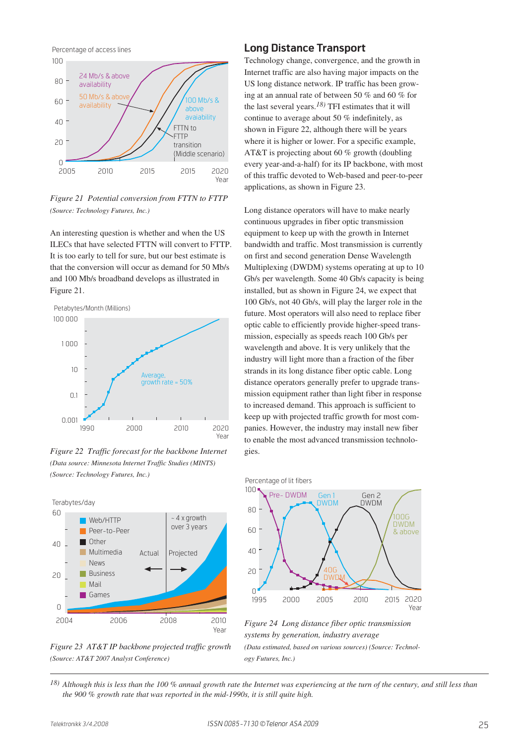Percentage of access lines



*Figure 21 Potential conversion from FTTN to FTTP (Source: Technology Futures, Inc.)*

An interesting question is whether and when the US ILECs that have selected FTTN will convert to FTTP. It is too early to tell for sure, but our best estimate is that the conversion will occur as demand for 50 Mb/s and 100 Mb/s broadband develops as illustrated in Figure 21.



*Figure 22 Traffic forecast for the backbone Internet (Data source: Minnesota Internet Traffic Studies (MINTS) (Source: Technology Futures, Inc.)*



*Figure 23 AT&T IP backbone projected traffic growth (Source: AT&T 2007 Analyst Conference)*

## **Long Distance Transport**

Technology change, convergence, and the growth in Internet traffic are also having major impacts on the US long distance network. IP traffic has been growing at an annual rate of between 50 % and 60 % for the last several years.*18)* TFI estimates that it will continue to average about 50 % indefinitely, as shown in Figure 22, although there will be years where it is higher or lower. For a specific example, AT&T is projecting about 60 % growth (doubling every year-and-a-half) for its IP backbone, with most of this traffic devoted to Web-based and peer-to-peer applications, as shown in Figure 23.

Long distance operators will have to make nearly continuous upgrades in fiber optic transmission equipment to keep up with the growth in Internet bandwidth and traffic. Most transmission is currently on first and second generation Dense Wavelength Multiplexing (DWDM) systems operating at up to 10 Gb/s per wavelength. Some 40 Gb/s capacity is being installed, but as shown in Figure 24, we expect that 100 Gb/s, not 40 Gb/s, will play the larger role in the future. Most operators will also need to replace fiber optic cable to efficiently provide higher-speed transmission, especially as speeds reach 100 Gb/s per wavelength and above. It is very unlikely that the industry will light more than a fraction of the fiber strands in its long distance fiber optic cable. Long distance operators generally prefer to upgrade transmission equipment rather than light fiber in response to increased demand. This approach is sufficient to keep up with projected traffic growth for most companies. However, the industry may install new fiber to enable the most advanced transmission technologies.



*Figure 24 Long distance fiber optic transmission systems by generation, industry average (Data estimated, based on various sources) (Source: Technology Futures, Inc.)*

*18) Although this is less than the 100 % annual growth rate the Internet was experiencing at the turn of the century, and still less than the 900 % growth rate that was reported in the mid-1990s, it is still quite high.*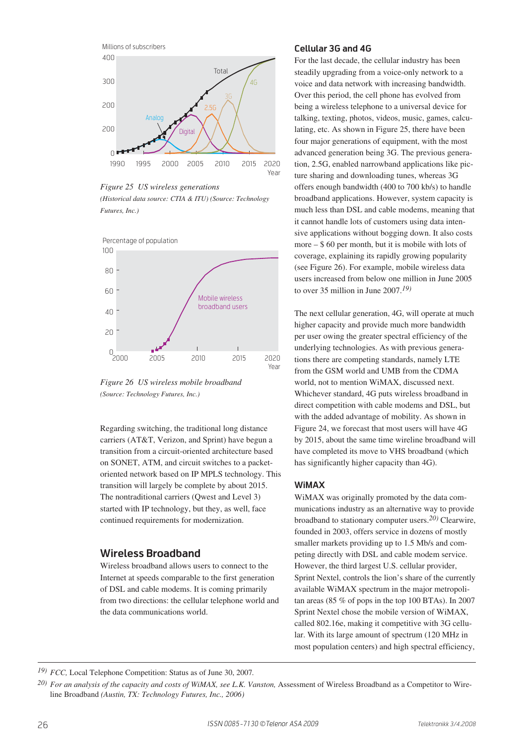

*Figure 25 US wireless generations*

*(Historical data source: CTIA & ITU) (Source: Technology Futures, Inc.)*



*Figure 26 US wireless mobile broadband (Source: Technology Futures, Inc.)*

Regarding switching, the traditional long distance carriers (AT&T, Verizon, and Sprint) have begun a transition from a circuit-oriented architecture based on SONET, ATM, and circuit switches to a packetoriented network based on IP MPLS technology. This transition will largely be complete by about 2015. The nontraditional carriers (Qwest and Level 3) started with IP technology, but they, as well, face continued requirements for modernization.

# **Wireless Broadband**

Wireless broadband allows users to connect to the Internet at speeds comparable to the first generation of DSL and cable modems. It is coming primarily from two directions: the cellular telephone world and the data communications world.

#### **Cellular 3G and 4G**

For the last decade, the cellular industry has been steadily upgrading from a voice-only network to a voice and data network with increasing bandwidth. Over this period, the cell phone has evolved from being a wireless telephone to a universal device for talking, texting, photos, videos, music, games, calculating, etc. As shown in Figure 25, there have been four major generations of equipment, with the most advanced generation being 3G. The previous generation, 2.5G, enabled narrowband applications like picture sharing and downloading tunes, whereas 3G offers enough bandwidth (400 to 700 kb/s) to handle broadband applications. However, system capacity is much less than DSL and cable modems, meaning that it cannot handle lots of customers using data intensive applications without bogging down. It also costs more  $-$  \$ 60 per month, but it is mobile with lots of coverage, explaining its rapidly growing popularity (see Figure 26). For example, mobile wireless data users increased from below one million in June 2005 to over 35 million in June 2007.*19)*

The next cellular generation, 4G, will operate at much higher capacity and provide much more bandwidth per user owing the greater spectral efficiency of the underlying technologies. As with previous generations there are competing standards, namely LTE from the GSM world and UMB from the CDMA world, not to mention WiMAX, discussed next. Whichever standard, 4G puts wireless broadband in direct competition with cable modems and DSL, but with the added advantage of mobility. As shown in Figure 24, we forecast that most users will have 4G by 2015, about the same time wireline broadband will have completed its move to VHS broadband (which has significantly higher capacity than 4G).

#### **WiMAX**

WiMAX was originally promoted by the data communications industry as an alternative way to provide broadband to stationary computer users.*20)* Clearwire, founded in 2003, offers service in dozens of mostly smaller markets providing up to 1.5 Mb/s and competing directly with DSL and cable modem service. However, the third largest U.S. cellular provider, Sprint Nextel, controls the lion's share of the currently available WiMAX spectrum in the major metropolitan areas (85 % of pops in the top 100 BTAs). In 2007 Sprint Nextel chose the mobile version of WiMAX, called 802.16e, making it competitive with 3G cellular. With its large amount of spectrum (120 MHz in most population centers) and high spectral efficiency,

*<sup>19)</sup> FCC,* Local Telephone Competition: Status as of June 30, 2007*.*

<sup>&</sup>lt;sup>20)</sup> For an analysis of the capacity and costs of WiMAX, see L.K. Vanston, Assessment of Wireless Broadband as a Competitor to Wireline Broadband *(Austin, TX: Technology Futures, Inc., 2006)*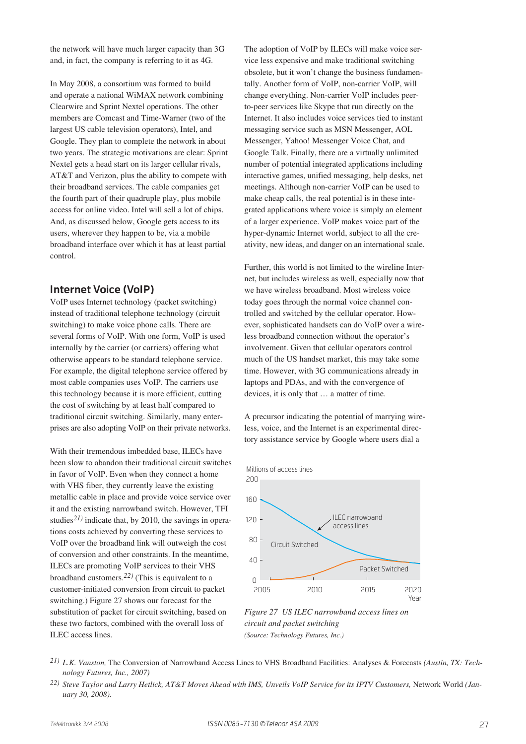the network will have much larger capacity than 3G and, in fact, the company is referring to it as 4G.

In May 2008, a consortium was formed to build and operate a national WiMAX network combining Clearwire and Sprint Nextel operations. The other members are Comcast and Time-Warner (two of the largest US cable television operators), Intel, and Google. They plan to complete the network in about two years. The strategic motivations are clear: Sprint Nextel gets a head start on its larger cellular rivals, AT&T and Verizon, plus the ability to compete with their broadband services. The cable companies get the fourth part of their quadruple play, plus mobile access for online video. Intel will sell a lot of chips. And, as discussed below, Google gets access to its users, wherever they happen to be, via a mobile broadband interface over which it has at least partial control.

### **Internet Voice (VoIP)**

VoIP uses Internet technology (packet switching) instead of traditional telephone technology (circuit switching) to make voice phone calls. There are several forms of VoIP. With one form, VoIP is used internally by the carrier (or carriers) offering what otherwise appears to be standard telephone service. For example, the digital telephone service offered by most cable companies uses VoIP. The carriers use this technology because it is more efficient, cutting the cost of switching by at least half compared to traditional circuit switching. Similarly, many enterprises are also adopting VoIP on their private networks.

With their tremendous imbedded base. ILECs have been slow to abandon their traditional circuit switches in favor of VoIP. Even when they connect a home with VHS fiber, they currently leave the existing metallic cable in place and provide voice service over it and the existing narrowband switch. However, TFI studies*21)* indicate that, by 2010, the savings in operations costs achieved by converting these services to VoIP over the broadband link will outweigh the cost of conversion and other constraints. In the meantime, ILECs are promoting VoIP services to their VHS broadband customers.*22)* (This is equivalent to a customer-initiated conversion from circuit to packet switching.) Figure 27 shows our forecast for the substitution of packet for circuit switching, based on these two factors, combined with the overall loss of ILEC access lines.

The adoption of VoIP by ILECs will make voice service less expensive and make traditional switching obsolete, but it won't change the business fundamentally. Another form of VoIP, non-carrier VoIP, will change everything. Non-carrier VoIP includes peerto-peer services like Skype that run directly on the Internet. It also includes voice services tied to instant messaging service such as MSN Messenger, AOL Messenger, Yahoo! Messenger Voice Chat, and Google Talk. Finally, there are a virtually unlimited number of potential integrated applications including interactive games, unified messaging, help desks, net meetings. Although non-carrier VoIP can be used to make cheap calls, the real potential is in these integrated applications where voice is simply an element of a larger experience. VoIP makes voice part of the hyper-dynamic Internet world, subject to all the creativity, new ideas, and danger on an international scale.

Further, this world is not limited to the wireline Internet, but includes wireless as well, especially now that we have wireless broadband. Most wireless voice today goes through the normal voice channel controlled and switched by the cellular operator. However, sophisticated handsets can do VoIP over a wireless broadband connection without the operator's involvement. Given that cellular operators control much of the US handset market, this may take some time. However, with 3G communications already in laptops and PDAs, and with the convergence of devices, it is only that … a matter of time.

A precursor indicating the potential of marrying wireless, voice, and the Internet is an experimental directory assistance service by Google where users dial a





*Figure 27 US ILEC narrowband access lines on circuit and packet switching (Source: Technology Futures, Inc.)*

*<sup>21)</sup> L.K. Vanston,* The Conversion of Narrowband Access Lines to VHS Broadband Facilities: Analyses & Forecasts *(Austin, TX: Technology Futures, Inc., 2007)*

*<sup>22)</sup> Steve Taylor and Larry Hetlick, AT&T Moves Ahead with IMS, Unveils VoIP Service for its IPTV Customers,* Network World *(January 30, 2008).*